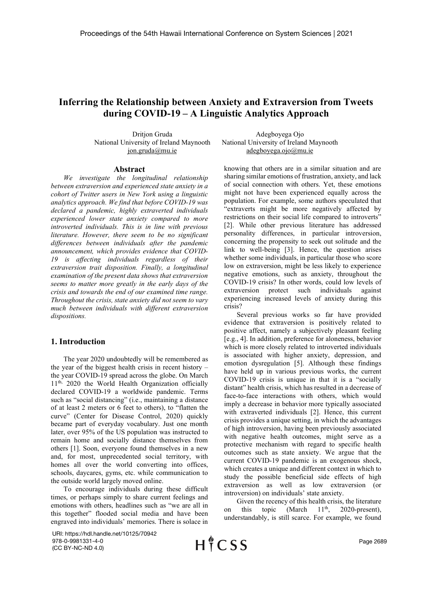# Inferring the Relationship between Anxiety and Extraversion from Tweets during COVID-19 – A Linguistic Analytics Approach

Dritjon Gruda National University of Ireland Maynooth jon.gruda@mu.ie

#### Abstract

We investigate the longitudinal relationship between extraversion and experienced state anxiety in a cohort of Twitter users in New York using a linguistic analytics approach. We find that before COVID-19 was declared a pandemic, highly extraverted individuals experienced lower state anxiety compared to more introverted individuals. This is in line with previous literature. However, there seem to be no significant differences between individuals after the pandemic announcement, which provides evidence that COVID-19 is affecting individuals regardless of their extraversion trait disposition. Finally, a longitudinal examination of the present data shows that extraversion seems to matter more greatly in the early days of the crisis and towards the end of our examined time range. Throughout the crisis, state anxiety did not seem to vary much between individuals with different extraversion dispositions.

#### 1. Introduction

The year 2020 undoubtedly will be remembered as the year of the biggest health crisis in recent history – the year COVID-19 spread across the globe. On March 11<sup>th, 2020</sup> the World Health Organization officially declared COVID-19 a worldwide pandemic. Terms such as "social distancing" (i.e., maintaining a distance of at least 2 meters or 6 feet to others), to "flatten the curve" (Center for Disease Control, 2020) quickly became part of everyday vocabulary. Just one month later, over 95% of the US population was instructed to remain home and socially distance themselves from others [1]. Soon, everyone found themselves in a new and, for most, unprecedented social territory, with homes all over the world converting into offices, schools, daycares, gyms, etc. while communication to the outside world largely moved online.

To encourage individuals during these difficult times, or perhaps simply to share current feelings and emotions with others, headlines such as "we are all in this together" flooded social media and have been engraved into individuals' memories. There is solace in

URI: https://hdl.handle.net/10125/70942 978-0-9981331-4-0 (CC BY-NC-ND 4.0)

 $H$ <sup> $*$ </sup>CSS

Adegboyega Ojo National University of Ireland Maynooth adegboyega.ojo@mu.ie

knowing that others are in a similar situation and are sharing similar emotions of frustration, anxiety, and lack of social connection with others. Yet, these emotions might not have been experienced equally across the population. For example, some authors speculated that "extraverts might be more negatively affected by restrictions on their social life compared to introverts" [2]. While other previous literature has addressed personality differences, in particular introversion, concerning the propensity to seek out solitude and the link to well-being [3]. Hence, the question arises whether some individuals, in particular those who score low on extraversion, might be less likely to experience negative emotions, such as anxiety, throughout the COVID-19 crisis? In other words, could low levels of extraversion protect such individuals against experiencing increased levels of anxiety during this crisis?

Several previous works so far have provided evidence that extraversion is positively related to positive affect, namely a subjectively pleasant feeling [e.g., 4]. In addition, preference for aloneness, behavior which is more closely related to introverted individuals is associated with higher anxiety, depression, and emotion dysregulation [5]. Although these findings have held up in various previous works, the current COVID-19 crisis is unique in that it is a "socially distant" health crisis, which has resulted in a decrease of face-to-face interactions with others, which would imply a decrease in behavior more typically associated with extraverted individuals [2]. Hence, this current crisis provides a unique setting, in which the advantages of high introversion, having been previously associated with negative health outcomes, might serve as a protective mechanism with regard to specific health outcomes such as state anxiety. We argue that the current COVID-19 pandemic is an exogenous shock, which creates a unique and different context in which to study the possible beneficial side effects of high extraversion as well as low extraversion (or introversion) on individuals' state anxiety.

Given the recency of this health crisis, the literature on this topic (March  $11<sup>th</sup>$ , 2020-present), understandably, is still scarce. For example, we found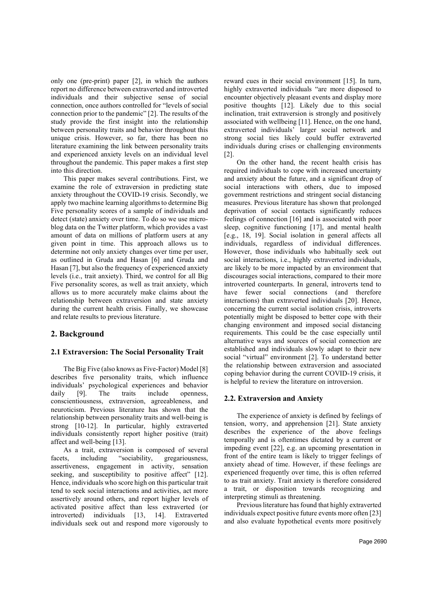only one (pre-print) paper [2], in which the authors report no difference between extraverted and introverted individuals and their subjective sense of social connection, once authors controlled for "levels of social connection prior to the pandemic" [2]. The results of the study provide the first insight into the relationship between personality traits and behavior throughout this unique crisis. However, so far, there has been no literature examining the link between personality traits and experienced anxiety levels on an individual level throughout the pandemic. This paper makes a first step into this direction.

This paper makes several contributions. First, we examine the role of extraversion in predicting state anxiety throughout the COVID-19 crisis. Secondly, we apply two machine learning algorithms to determine Big Five personality scores of a sample of individuals and detect (state) anxiety over time. To do so we use microblog data on the Twitter platform, which provides a vast amount of data on millions of platform users at any given point in time. This approach allows us to determine not only anxiety changes over time per user, as outlined in Gruda and Hasan [6] and Gruda and Hasan [7], but also the frequency of experienced anxiety levels (i.e., trait anxiety). Third, we control for all Big Five personality scores, as well as trait anxiety, which allows us to more accurately make claims about the relationship between extraversion and state anxiety during the current health crisis. Finally, we showcase and relate results to previous literature.

## 2. Background

### 2.1 Extraversion: The Social Personality Trait

The Big Five (also knows as Five-Factor) Model [8] describes five personality traits, which influence individuals' psychological experiences and behavior daily [9]. The traits include openness, conscientiousness, extraversion, agreeableness, and neuroticism. Previous literature has shown that the relationship between personality traits and well-being is strong [10-12]. In particular, highly extraverted individuals consistently report higher positive (trait) affect and well-being [13].

As a trait, extraversion is composed of several facets, including "sociability, gregariousness, assertiveness, engagement in activity, sensation seeking, and susceptibility to positive affect" [12]. Hence, individuals who score high on this particular trait tend to seek social interactions and activities, act more assertively around others, and report higher levels of activated positive affect than less extraverted (or introverted) individuals [13, 14]. Extraverted individuals seek out and respond more vigorously to reward cues in their social environment [15]. In turn, highly extraverted individuals "are more disposed to encounter objectively pleasant events and display more positive thoughts [12]. Likely due to this social inclination, trait extraversion is strongly and positively associated with wellbeing [11]. Hence, on the one hand, extraverted individuals' larger social network and strong social ties likely could buffer extraverted individuals during crises or challenging environments [2].

On the other hand, the recent health crisis has required individuals to cope with increased uncertainty and anxiety about the future, and a significant drop of social interactions with others, due to imposed government restrictions and stringent social distancing measures. Previous literature has shown that prolonged deprivation of social contacts significantly reduces feelings of connection [16] and is associated with poor sleep, cognitive functioning [17], and mental health [e.g., 18, 19]. Social isolation in general affects all individuals, regardless of individual differences. However, those individuals who habitually seek out social interactions, i.e., highly extraverted individuals, are likely to be more impacted by an environment that discourages social interactions, compared to their more introverted counterparts. In general, introverts tend to have fewer social connections (and therefore interactions) than extraverted individuals [20]. Hence, concerning the current social isolation crisis, introverts potentially might be disposed to better cope with their changing environment and imposed social distancing requirements. This could be the case especially until alternative ways and sources of social connection are established and individuals slowly adapt to their new social "virtual" environment [2]. To understand better the relationship between extraversion and associated coping behavior during the current COVID-19 crisis, it is helpful to review the literature on introversion.

#### 2.2. Extraversion and Anxiety

The experience of anxiety is defined by feelings of tension, worry, and apprehension [21]. State anxiety describes the experience of the above feelings temporally and is oftentimes dictated by a current or impeding event [22], e.g. an upcoming presentation in front of the entire team is likely to trigger feelings of anxiety ahead of time. However, if these feelings are experienced frequently over time, this is often referred to as trait anxiety. Trait anxiety is therefore considered a trait, or disposition towards recognizing and interpreting stimuli as threatening.

Previous literature has found that highly extraverted individuals expect positive future events more often [23] and also evaluate hypothetical events more positively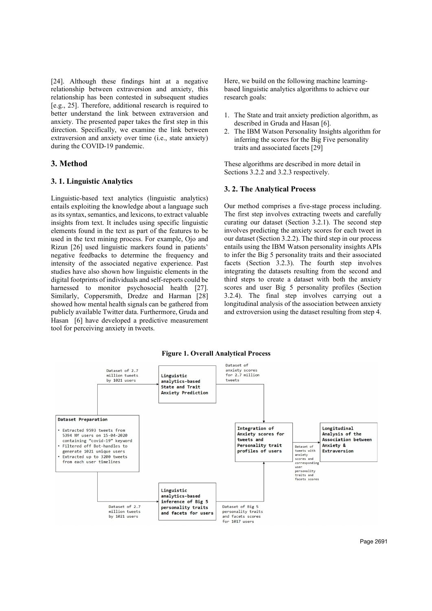[24]. Although these findings hint at a negative relationship between extraversion and anxiety, this relationship has been contested in subsequent studies [e.g., 25]. Therefore, additional research is required to better understand the link between extraversion and anxiety. The presented paper takes the first step in this direction. Specifically, we examine the link between extraversion and anxiety over time (i.e., state anxiety) during the COVID-19 pandemic. [24]. Although these findings hint at a negative Here, we build on the followist<br>
relationship has been contested in subsequent studies research goals:<br>
[e.g., 25]. Therefore, additional research is required to<br>
better un 2.4]. Although these findings hint at a negative Here, we build on the following between extraversion and anxiety, this based linguistic analytics<br>
[e.g., 25]. Therefore, additional research is required to research goals:<br>

Linguistic-based text analytics (linguistic analytics) entails exploiting the knowledge about a language such as its syntax, semantics, and lexicons, to extract valuable insights from text. It includes using specific linguistic elements found in the text as part of the features to be used in the text mining process. For example, Ojo and Rizun [26] used linguistic markers found in patients' negative feedbacks to determine the frequency and intensity of the associated negative experience. Past studies have also shown how linguistic elements in the digital footprints of individuals and self-reports could be harnessed to monitor psychosocial health [27]. Similarly, Coppersmith, Dredze and Harman [28] showed how mental health signals can be gathered from publicly available Twitter data. Furthermore, Gruda and Hasan [6] have developed a predictive measurement tool for perceiving anxiety in tweets.

Here, we build on the following machine learningbased linguistic analytics algorithms to achieve our research goals:

- 1. The State and trait anxiety prediction algorithm, as described in Gruda and Hasan [6].
- 2. The IBM Watson Personality Insights algorithm for inferring the scores for the Big Five personality traits and associated facets [29]

These algorithms are described in more detail in Sections 3.2.2 and 3.2.3 respectively.

Here, we build on the following machine learning-<br>based linguistic analytics algorithms to achieve our<br>research goals:<br>1. The Btate and trait anxiety prediction algorithm, as<br>described in Gruda and Hasan [6].<br>2. The IBM Wa Our method comprises a five-stage process including. The first step involves extracting tweets and carefully curating our dataset (Section 3.2.1). The second step involves predicting the anxiety scores for each tweet in our dataset (Section 3.2.2). The third step in our process entails using the IBM Watson personality insights APIs to infer the Big 5 personality traits and their associated facets (Section 3.2.3). The fourth step involves integrating the datasets resulting from the second and third steps to create a dataset with both the anxiety scores and user Big 5 personality profiles (Section 3.2.4). The final step involves carrying out a longitudinal analysis of the association between anxiety and extroversion using the dataset resulting from step 4.



Figure 1. Overall Analytical Process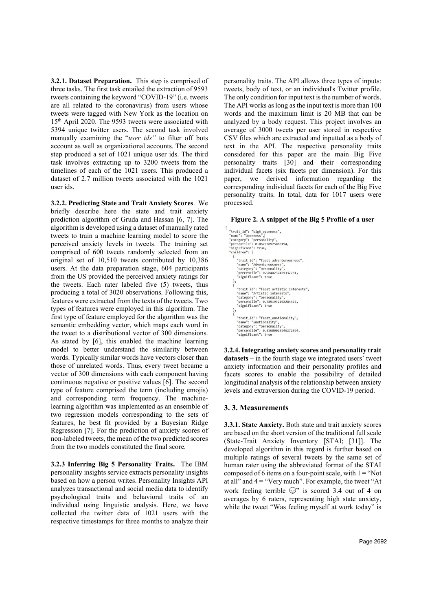3.2.1. Dataset Preparation. This step is comprised of three tasks. The first task entailed the extraction of 9593 tweets containing the keyword "COVID-19" (i.e. tweets are all related to the coronavirus) from users whose tweets were tagged with New York as the location on 15th April 2020. The 9593 tweets were associated with 5394 unique twitter users. The second task involved manually examining the "user ids" to filter off bots account as well as organizational accounts. The second step produced a set of 1021 unique user ids. The third task involves extracting up to 3200 tweets from the timelines of each of the 1021 users. This produced a dataset of 2.7 million tweets associated with the 1021 user ids.

3.2.2. Predicting State and Trait Anxiety Scores. We briefly describe here the state and trait anxiety prediction algorithm of Gruda and Hassan [6, 7]. The algorithm is developed using a dataset of manually rated tweets to train a machine learning model to score the perceived anxiety levels in tweets. The training set comprised of 600 tweets randomly selected from an original set of 10,510 tweets contributed by 10,386 users. At the data preparation stage, 604 participants from the US provided the perceived anxiety ratings for the tweets. Each rater labeled five (5) tweets, thus producing a total of 3020 observations. Following this, features were extracted from the texts of the tweets. Two types of features were employed in this algorithm. The first type of feature employed for the algorithm was the semantic embedding vector, which maps each word in the tweet to a distributional vector of 300 dimensions. As stated by [6], this enabled the machine learning model to better understand the similarity between words. Typically similar words have vectors closer than those of unrelated words. Thus, every tweet became a vector of 300 dimensions with each component having continuous negative or positive values [6]. The second type of feature comprised the term (including emojis) and corresponding term frequency. The machinelearning algorithm was implemented as an ensemble of two regression models corresponding to the sets of features, he best fit provided by a Bayesian Ridge Regression [7]. For the prediction of anxiety scores of non-labeled tweets, the mean of the two predicted scores from the two models constituted the final score.

3.2.3 Inferring Big 5 Personality Traits. The IBM personality insights service extracts personality insights based on how a person writes. Personality Insights API analyzes transactional and social media data to identify psychological traits and behavioral traits of an individual using linguistic analysis. Here, we have collected the twitter data of 1021 users with the respective timestamps for three months to analyze their personality traits. The API allows three types of inputs: tweets, body of text, or an individual's Twitter profile. The only condition for input text is the number of words. The API works as long as the input text is more than 100 words and the maximum limit is 20 MB that can be analyzed by a body request. This project involves an average of 3000 tweets per user stored in respective CSV files which are extracted and inputted as a body of text in the API. The respective personality traits considered for this paper are the main Big Five personality traits [30] and their corresponding individual facets (six facets per dimension). For this paper, we derived information regarding the corresponding individual facets for each of the Big Five personality traits. In total, data for 1017 users were processed.

#### Figure 2. A snippet of the Big 5 Profile of a user

"trait\_id": "big5\_openness", u . Diga<br>"Openness "name": "Openness",|<br>"category": "personality",<br>"percentile": 0.867938975860154,<br>"significant": true,<br>"children": [ "trait\_id": "facet\_adventurousness",<br>"name": "Adventurousness",<br>"category": "personality",<br>"percentile": 0.9840237425332751,<br>"significant": true "trait\_id": "facet\_artistic\_interests",<br>"name": "Artistic\_interests",<br>"category": "personality",<br>"percentile": 0.7891932192284472,<br>"significant": true "trait\_id": "facet\_emotionality",<br>"name": "Emotionality",<br>"category": "personality",<br>"percentile": 0.35680023546272954,<br>"significant": true

3.2.4. Integrating anxiety scores and personality trait datasets – in the fourth stage we integrated users' tweet anxiety information and their personality profiles and facets scores to enable the possibility of detailed longitudinal analysis of the relationship between anxiety levels and extraversion during the COVID-19 period.

#### 3. 3. Measurements

3.3.1. State Anxiety. Both state and trait anxiety scores are based on the short version of the traditional full scale (State-Trait Anxiety Inventory [STAI; [31]]. The developed algorithm in this regard is further based on multiple ratings of several tweets by the same set of human rater using the abbreviated format of the STAI composed of 6 items on a four-point scale, with  $1 = "Not$ at all" and  $4 =$  "Very much". For example, the tweet "At work feeling terrible  $\mathbb{C}$ " is scored 3.4 out of 4 on averages by 6 raters, representing high state anxiety, while the tweet "Was feeling myself at work today" is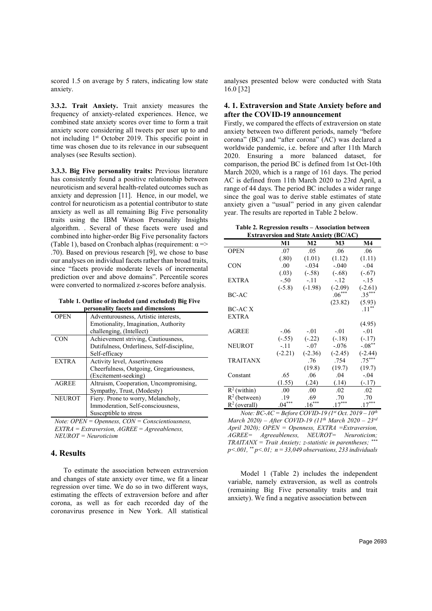scored 1.5 on average by 5 raters, indicating low state anxiety.

3.3.2. Trait Anxiety. Trait anxiety measures the frequency of anxiety-related experiences. Hence, we combined state anxiety scores over time to form a trait anxiety score considering all tweets per user up to and not including 1st October 2019. This specific point in time was chosen due to its relevance in our subsequent analyses (see Results section).

3.3.3. Big Five personality traits: Previous literature has consistently found a positive relationship between neuroticism and several health-related outcomes such as anxiety and depression [11]. Hence, in our model, we control for neuroticism as a potential contributor to state anxiety as well as all remaining Big Five personality traits using the IBM Watson Personality Insights algorithm. . Several of these facets were used and combined into higher-order Big Five personality factors (Table 1), based on Cronbach alphas (requirement:  $\alpha$  => .70). Based on previous research [9], we chose to base our analyses on individual facets rather than broad traits, since "facets provide moderate levels of incremental prediction over and above domains". Percentile scores were converted to normalized z-scores before analysis.

Table 1. Outline of included (and excluded) Big Five personality facets and dimensions

| <b>OPEN</b>   | Adventurousness, Artistic interests,<br>Emotionality, Imagination, Authority<br>challenging, (Intellect) |
|---------------|----------------------------------------------------------------------------------------------------------|
| CON           | Achievement striving, Cautiousness,<br>Dutifulness, Orderliness, Self-discipline,<br>Self-efficacy       |
|               |                                                                                                          |
| <b>EXTRA</b>  | Activity level, Assertiveness                                                                            |
|               | Cheerfulness, Outgoing, Gregariousness,<br>(Excitement-seeking)                                          |
| <b>AGREE</b>  | Altruism, Cooperation, Uncompromising,                                                                   |
|               | Sympathy, Trust, (Modesty)                                                                               |
| <b>NEUROT</b> | Fiery. Prone to worry, Melancholy,                                                                       |
|               | Immoderation, Self-consciousness,                                                                        |
|               |                                                                                                          |
|               | Susceptible to stress                                                                                    |
|               |                                                                                                          |

Note:  $OPEN = OpennesS$ ,  $CON = Conscientiousness$ ,  $EXTRA = Extraversion, AGREE = Agreeableness,$  $NEUROT = Neuroticism$ 

### 4. Results

To estimate the association between extraversion and changes of state anxiety over time, we fit a linear regression over time. We do so in two different ways, estimating the effects of extraversion before and after corona, as well as for each recorded day of the coronavirus presence in New York. All statistical analyses presented below were conducted with Stata 16.0 [32]

### 4. 1. Extraversion and State Anxiety before and after the COVID-19 announcement

Firstly, we compared the effects of extraversion on state anxiety between two different periods, namely "before corona" (BC) and "after corona" (AC) was declared a worldwide pandemic, i.e. before and after 11th March 2020. Ensuring a more balanced dataset, for comparison, the period BC is defined from 1st Oct-10th March 2020, which is a range of 161 days. The period AC is defined from 11th March 2020 to 23rd April, a range of 44 days. The period BC includes a wider range since the goal was to derive stable estimates of state anxiety given a "usual" period in any given calendar year. The results are reported in Table 2 below.

Table 2. Regression results – Association between Extraversion and State Anxiety (BC/AC)

| <b>EXU AVEI SION AND STATE AMATELY (DUAC)</b> |           |                |                |           |  |  |
|-----------------------------------------------|-----------|----------------|----------------|-----------|--|--|
|                                               | M1        | M <sub>2</sub> | M <sub>3</sub> | M4        |  |  |
| <b>OPEN</b>                                   | .07       | .05            | .06            | .06       |  |  |
|                                               | (.80)     | (1.01)         | (1.12)         | (1.11)    |  |  |
| <b>CON</b>                                    | .00.      | $-.034$        | $-.040$        | $-.04$    |  |  |
|                                               | (.03)     | $(-.58)$       | $(-.68)$       | $(-.67)$  |  |  |
| <b>EXTRA</b>                                  | $-.50$    | $-.11$         | $-.12$         | $-15$     |  |  |
|                                               | $(-5.8)$  | $(-1.98)$      | $(-2.09)$      | $(-2.61)$ |  |  |
| BC-AC                                         |           |                | $.06***$       | $.35***$  |  |  |
|                                               |           |                | (23.82)        | (5.93)    |  |  |
| BC-AC X                                       |           |                |                | $.11***$  |  |  |
| <b>EXTRA</b>                                  |           |                |                |           |  |  |
|                                               |           |                |                | (4.95)    |  |  |
| AGREE                                         | $-.06$    | $-.01$         | $-.01$         | $-.01$    |  |  |
|                                               | $(-.55)$  | $(-.22)$       | $(-.18)$       | $(-.17)$  |  |  |
| <b>NEUROT</b>                                 | $-.11$    | $-.07$         | $-.076$        | $-.08***$ |  |  |
|                                               | $(-2.21)$ | $(-2.36)$      | $(-2.45)$      | $(-2.44)$ |  |  |
| <b>TRAITANX</b>                               |           | .76            | .754           | $.75***$  |  |  |
|                                               |           | (19.8)         | (19.7)         | (19.7)    |  |  |
| Constant                                      | .65       | .06            | .04            | $-.04$    |  |  |
|                                               | (1.55)    | (.24)          | (.14)          | $(-.17)$  |  |  |
| $R^2$ (within)                                | .00.      | .00            | .02            | .02       |  |  |
| $R^2$ (between)                               | .19       | .69            | .70            | .70       |  |  |
| $R^2$ (overall)                               | $.04***$  | $.16***$       | $.17***$       | $.17***$  |  |  |

Note:  $BC-AC = Before COVID-19$  ( $I<sup>st</sup> Oct. 2019 – 10<sup>th</sup>$ March 2020) – After COVID-19 (11<sup>th</sup> March 2020 – 23rd April 2020); OPEN = Openness, EXTRA = Extraversion, AGREE= Agreeableness, NEUROT= Neuroticism;  $TRAITANX = Train Anxiety; z-statistic in parentheses;***$  $p$ <.001, \*\*  $p$ <.01;  $n = 33,049$  observations, 233 individuals

Model 1 (Table 2) includes the independent variable, namely extraversion, as well as controls (remaining Big Five personality traits and trait anxiety). We find a negative association between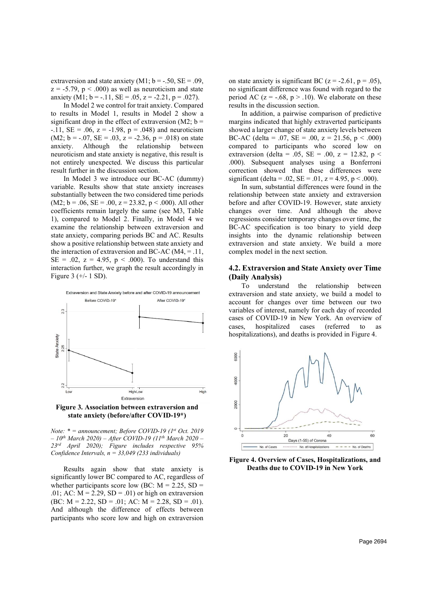extraversion and state anxiety  $(M1; b = -.50, SE = .09,$  $z = -5.79$ ,  $p < .000$  as well as neuroticism and state anxiety (M1;  $b = -.11$ , SE = .05, z = -2.21, p = .027).

In Model 2 we control for trait anxiety. Compared to results in Model 1, results in Model 2 show a significant drop in the effect of extraversion (M2;  $b =$ -.11,  $SE = .06$ ,  $z = -1.98$ ,  $p = .048$ ) and neuroticism  $(M2; b = -.07, SE = .03, z = -2.36, p = .018)$  on state anxiety. Although the relationship between neuroticism and state anxiety is negative, this result is not entirely unexpected. We discuss this particular result further in the discussion section.

In Model 3 we introduce our BC-AC (dummy) variable. Results show that state anxiety increases substantially between the two considered time periods  $(M2; b = .06, SE = .00, z = 23.82, p < .000)$ . All other coefficients remain largely the same (see M3, Table 1), compared to Model 2. Finally, in Model 4 we examine the relationship between extraversion and state anxiety, comparing periods BC and AC. Results show a positive relationship between state anxiety and the interaction of extraversion and BC-AC ( $M4$ , = .11,  $SE = .02$ ,  $z = 4.95$ ,  $p < .000$ ). To understand this interaction further, we graph the result accordingly in Figure 3 (+/- 1 SD).



Figure 3. Association between extraversion and state anxiety (before/after COVID-19\*)

Note:  $* =$  announcement; Before COVID-19 (1st Oct. 2019)  $-10^{th}$  March 2020) – After COVID-19 (11<sup>th</sup> March 2020 – 23rd April 2020); Figure includes respective 95% Confidence Intervals,  $n = 33,049$  (233 individuals)

Results again show that state anxiety is significantly lower BC compared to AC, regardless of whether participants score low (BC:  $M = 2.25$ , SD = .01; AC:  $M = 2.29$ ,  $SD = .01$ ) or high on extraversion (BC:  $M = 2.22$ ,  $SD = .01$ ; AC:  $M = 2.28$ ,  $SD = .01$ ). And although the difference of effects between participants who score low and high on extraversion

on state anxiety is significant BC ( $z = -2.61$ ,  $p = .05$ ), no significant difference was found with regard to the period AC ( $z = -.68$ ,  $p > .10$ ). We elaborate on these results in the discussion section.

In addition, a pairwise comparison of predictive margins indicated that highly extraverted participants showed a larger change of state anxiety levels between BC-AC (delta = .07, SE = .00, z = 21.56, p < .000) compared to participants who scored low on extraversion (delta = .05, SE = .00,  $z = 12.82$ ,  $p <$ .000). Subsequent analyses using a Bonferroni correction showed that these differences were significant (delta = .02, SE = .01, z = 4.95, p < .000).

In sum, substantial differences were found in the relationship between state anxiety and extraversion before and after COVID-19. However, state anxiety changes over time. And although the above regressions consider temporary changes over time, the BC-AC specification is too binary to yield deep insights into the dynamic relationship between extraversion and state anxiety. We build a more complex model in the next section.

### 4.2. Extraversion and State Anxiety over Time (Daily Analysis)

To understand the relationship between extraversion and state anxiety, we build a model to account for changes over time between our two variables of interest, namely for each day of recorded cases of COVID-19 in New York. An overview of cases, hospitalized cases (referred to as hospitalizations), and deaths is provided in Figure 4.



Figure 4. Overview of Cases, Hospitalizations, and Deaths due to COVID-19 in New York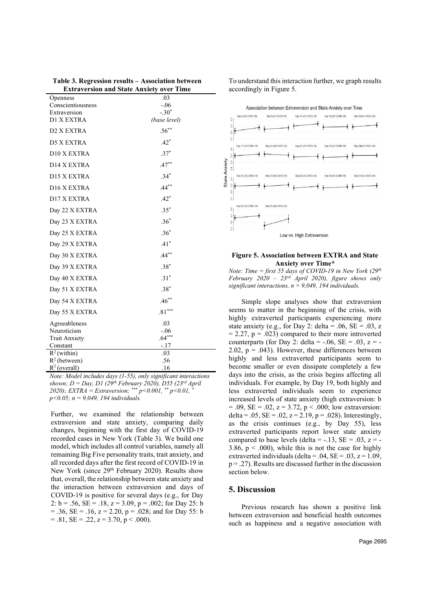| .03          |
|--------------|
| $-.06$       |
| $-.30*$      |
| (base level) |
| $.56***$     |
| $.42*$       |
| $.37*$       |
| $.47***$     |
| $.34*$       |
| $.44***$     |
| $.42*$       |
| $.35*$       |
| $.36*$       |
| $.36*$       |
| $.41*$       |
| $.44***$     |
| $.38*$       |
| $.31*$       |
| $.38*$       |
| $.46***$     |
| $.81***$     |
| .03          |
| $-.06$       |
| $.64***$     |
| -.17         |
| .03          |
| .56          |
| .16          |
|              |

Table 3. Regression results – Association between Extraversion and State Anxiety over Time

Note: Model includes days (1-55), only significant interactions shown;  $D = Day$ , D1 (29<sup>th</sup> February 2020), D55 (23<sup>rd</sup> April 2020); EXTRA = Extraversion; \*\*\*  $p$ <0.001, \*\*  $p$ <0.01, \*  $p<0.05$ ;  $n = 9.049$ , 194 individuals.

Further, we examined the relationship between extraversion and state anxiety, comparing daily changes, beginning with the first day of COVID-19 recorded cases in New York (Table 3). We build one model, which includes all control variables, namely all remaining Big Five personality traits, trait anxiety, and all recorded days after the first record of COVID-19 in New York (since 29<sup>th</sup> February 2020). Results show that, overall, the relationship between state anxiety and the interaction between extraversion and days of COVID-19 is positive for several days (e.g., for Day 2:  $b = .56$ ,  $SE = .18$ ,  $z = 3.09$ ,  $p = .002$ ; for Day 25: b  $= .36$ , SE  $= .16$ ,  $z = 2.20$ ,  $p = .028$ ; and for Day 55: b  $= .81$ , SE  $= .22$ ,  $z = 3.70$ ,  $p < .000$ ).

To understand this interaction further, we graph results accordingly in Figure 5.



#### Figure 5. Association between EXTRA and State Anxiety over Time\*

Note: Time = first 55 days of COVID-19 in New York (29th February 2020 – 23<sup>rd</sup> April 2020), figure shows only significant interactions,  $n = 9,049, 194$  individuals.

Simple slope analyses show that extraversion seems to matter in the beginning of the crisis, with highly extraverted participants experiencing more state anxiety (e.g., for Day 2: delta = .06,  $SE = .03$ , z  $= 2.27$ ,  $p = .023$ ) compared to their more introverted counterparts (for Day 2: delta =  $-.06$ , SE =  $.03$ , z = -2.02,  $p = .043$ ). However, these differences between highly and less extraverted participants seem to become smaller or even dissipate completely a few days into the crisis, as the crisis begins affecting all individuals. For example, by Day 19, both highly and less extraverted individuals seem to experience increased levels of state anxiety (high extraversion: b  $= .09$ , SE  $= .02$ ,  $z = 3.72$ ,  $p < .000$ ; low extraversion: delta = .05,  $SE = .02$ ,  $z = 2.19$ ,  $p = .028$ ). Interestingly, as the crisis continues (e.g., by Day 55), less extraverted participants report lower state anxiety compared to base levels (delta =  $-.13$ , SE =  $.03$ , z =  $-$ 3.86,  $p < .000$ ), while this is not the case for highly extraverted individuals (delta = .04,  $SE = .03$ ,  $z = 1.09$ ,  $p = .27$ ). Results are discussed further in the discussion section below.

# 5. Discussion

Previous research has shown a positive link between extraversion and beneficial health outcomes such as happiness and a negative association with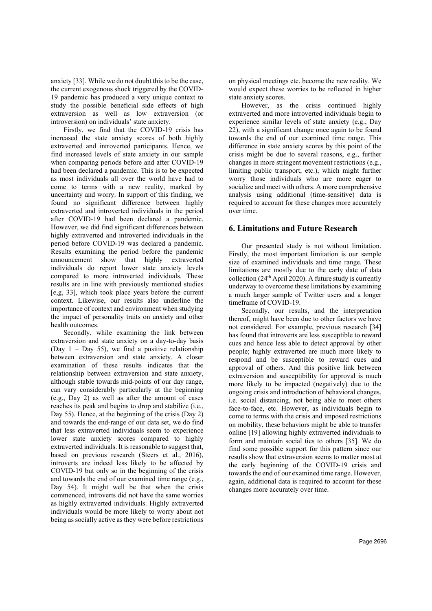anxiety [33]. While we do not doubt this to be the case, the current exogenous shock triggered by the COVID-19 pandemic has produced a very unique context to study the possible beneficial side effects of high extraversion as well as low extraversion (or introversion) on individuals' state anxiety.

Firstly, we find that the COVID-19 crisis has increased the state anxiety scores of both highly extraverted and introverted participants. Hence, we find increased levels of state anxiety in our sample when comparing periods before and after COVID-19 had been declared a pandemic. This is to be expected as most individuals all over the world have had to come to terms with a new reality, marked by uncertainty and worry. In support of this finding, we found no significant difference between highly extraverted and introverted individuals in the period after COVID-19 had been declared a pandemic. However, we did find significant differences between highly extraverted and introverted individuals in the period before COVID-19 was declared a pandemic. Results examining the period before the pandemic announcement show that highly extraverted individuals do report lower state anxiety levels compared to more introverted individuals. These results are in line with previously mentioned studies [e,g, 33], which took place years before the current context. Likewise, our results also underline the importance of context and environment when studying the impact of personality traits on anxiety and other health outcomes.

Secondly, while examining the link between extraversion and state anxiety on a day-to-day basis (Day  $1 - Day 55$ ), we find a positive relationship between extraversion and state anxiety. A closer examination of these results indicates that the relationship between extraversion and state anxiety, although stable towards mid-points of our day range, can vary considerably particularly at the beginning (e.g., Day 2) as well as after the amount of cases reaches its peak and begins to drop and stabilize (i.e., Day 55). Hence, at the beginning of the crisis (Day 2) and towards the end-range of our data set, we do find that less extraverted individuals seem to experience lower state anxiety scores compared to highly extraverted individuals. It is reasonable to suggest that, based on previous research (Steers et al., 2016), introverts are indeed less likely to be affected by COVID-19 but only so in the beginning of the crisis and towards the end of our examined time range (e.g., Day 54). It might well be that when the crisis commenced, introverts did not have the same worries as highly extraverted individuals. Highly extraverted individuals would be more likely to worry about not being as socially active as they were before restrictions

on physical meetings etc. become the new reality. We would expect these worries to be reflected in higher state anxiety scores.

However, as the crisis continued highly extraverted and more introverted individuals begin to experience similar levels of state anxiety (e.g., Day 22), with a significant change once again to be found towards the end of our examined time range. This difference in state anxiety scores by this point of the crisis might be due to several reasons, e.g., further changes in more stringent movement restrictions (e.g., limiting public transport, etc.), which might further worry those individuals who are more eager to socialize and meet with others. A more comprehensive analysis using additional (time-sensitive) data is required to account for these changes more accurately over time.

# 6. Limitations and Future Research

Our presented study is not without limitation. Firstly, the most important limitation is our sample size of examined individuals and time range. These limitations are mostly due to the early date of data collection ( $24<sup>th</sup>$  April 2020). A future study is currently underway to overcome these limitations by examining a much larger sample of Twitter users and a longer timeframe of COVID-19.

Secondly, our results, and the interpretation thereof, might have been due to other factors we have not considered. For example, previous research [34] has found that introverts are less susceptible to reward cues and hence less able to detect approval by other people; highly extraverted are much more likely to respond and be susceptible to reward cues and approval of others. And this positive link between extraversion and susceptibility for approval is much more likely to be impacted (negatively) due to the ongoing crisis and introduction of behavioral changes, i.e. social distancing, not being able to meet others face-to-face, etc. However, as individuals begin to come to terms with the crisis and imposed restrictions on mobility, these behaviors might be able to transfer online [19] allowing highly extraverted individuals to form and maintain social ties to others [35]. We do find some possible support for this pattern since our results show that extraversion seems to matter most at the early beginning of the COVID-19 crisis and towards the end of our examined time range. However, again, additional data is required to account for these changes more accurately over time.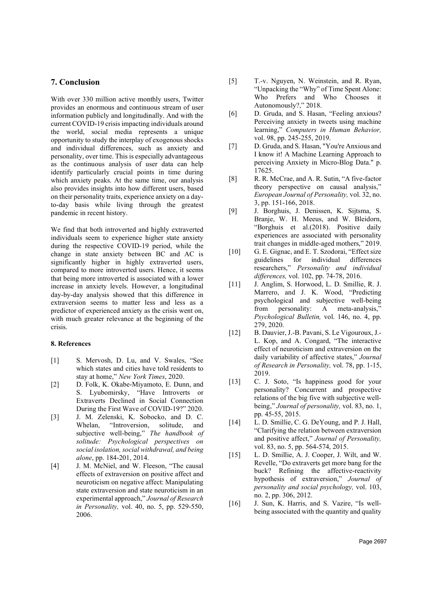# 7. Conclusion

With over 330 million active monthly users, Twitter provides an enormous and continuous stream of user information publicly and longitudinally. And with the current COVID-19 crisis impacting individuals around the world, social media represents a unique opportunity to study the interplay of exogenous shocks and individual differences, such as anxiety and personality, over time. This is especially advantageous as the continuous analysis of user data can help identify particularly crucial points in time during which anxiety peaks. At the same time, our analysis also provides insights into how different users, based on their personality traits, experience anxiety on a dayto-day basis while living through the greatest pandemic in recent history.

We find that both introverted and highly extraverted individuals seem to experience higher state anxiety during the respective COVID-19 period, while the change in state anxiety between BC and AC is significantly higher in highly extraverted users, compared to more introverted users. Hence, it seems that being more introverted is associated with a lower increase in anxiety levels. However, a longitudinal day-by-day analysis showed that this difference in extraversion seems to matter less and less as a predictor of experienced anxiety as the crisis went on, with much greater relevance at the beginning of the crisis.

#### 8. References

- [1] S. Mervosh, D. Lu, and V. Swales, "See which states and cities have told residents to stay at home," New York Times, 2020.
- [2] D. Folk, K. Okabe-Miyamoto, E. Dunn, and S. Lyubomirsky, "Have Introverts or Extraverts Declined in Social Connection During the First Wave of COVID-19?" 2020.
- [3] J. M. Zelenski, K. Sobocko, and D. C. Whelan, "Introversion, solitude, and subjective well-being," The handbook of solitude: Psychological perspectives on social isolation, social withdrawal, and being alone, pp. 184-201, 2014.
- [4] J. M. McNiel, and W. Fleeson, "The causal effects of extraversion on positive affect and neuroticism on negative affect: Manipulating state extraversion and state neuroticism in an experimental approach," Journal of Research in Personality, vol. 40, no. 5, pp. 529-550, 2006.
- [5] T.-v. Nguyen, N. Weinstein, and R. Ryan, "Unpacking the "Why" of Time Spent Alone: Who Prefers and Who Chooses it Autonomously?," 2018.
- [6] D. Gruda, and S. Hasan, "Feeling anxious? Perceiving anxiety in tweets using machine learning," Computers in Human Behavior, vol. 98, pp. 245-255, 2019.
- [7] D. Gruda, and S. Hasan, "You're Anxious and I know it! A Machine Learning Approach to perceiving Anxiety in Micro-Blog Data." p. 17625.
- [8] R. R. McCrae, and A. R. Sutin, "A five-factor" theory perspective on causal analysis," European Journal of Personality, vol. 32, no. 3, pp. 151-166, 2018.
- [9] J. Borghuis, J. Denissen, K. Sijtsma, S. Branje, W. H. Meeus, and W. Bleidorn, "Borghuis et al.(2018). Positive daily experiences are associated with personality trait changes in middle-aged mothers," 2019.
- [10] G. E. Gignac, and E. T. Szodorai, "Effect size guidelines for individual differences researchers," Personality and individual differences, vol. 102, pp. 74-78, 2016.
- [11] J. Anglim, S. Horwood, L. D. Smillie, R. J. Marrero, and J. K. Wood, "Predicting psychological and subjective well-being from personality: A meta-analysis," Psychological Bulletin, vol. 146, no. 4, pp. 279, 2020.
- [12] B. Dauvier, J.-B. Pavani, S. Le Vigouroux, J.- L. Kop, and A. Congard, "The interactive effect of neuroticism and extraversion on the daily variability of affective states," Journal of Research in Personality, vol. 78, pp. 1-15, 2019.
- [13] C. J. Soto, "Is happiness good for your personality? Concurrent and prospective relations of the big five with subjective well‐ being," Journal of personality, vol. 83, no. 1, pp. 45-55, 2015.
- [14] L. D. Smillie, C. G. DeYoung, and P. J. Hall, "Clarifying the relation between extraversion and positive affect," Journal of Personality, vol. 83, no. 5, pp. 564-574, 2015.
- [15] L. D. Smillie, A. J. Cooper, J. Wilt, and W. Revelle, "Do extraverts get more bang for the buck? Refining the affective-reactivity hypothesis of extraversion," Journal of personality and social psychology, vol. 103, no. 2, pp. 306, 2012.
- [16] J. Sun, K. Harris, and S. Vazire, "Is wellbeing associated with the quantity and quality